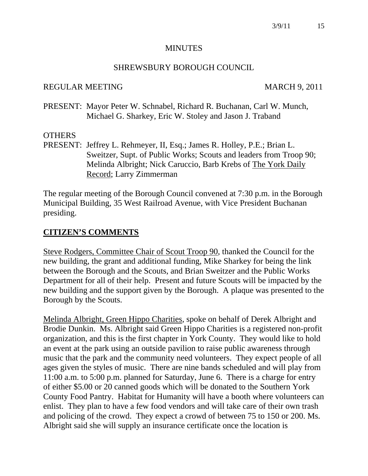#### **MINUTES**

#### SHREWSBURY BOROUGH COUNCIL

#### REGULAR MEETING MARCH 9, 2011

PRESENT: Mayor Peter W. Schnabel, Richard R. Buchanan, Carl W. Munch, Michael G. Sharkey, Eric W. Stoley and Jason J. Traband

#### **OTHERS**

PRESENT: Jeffrey L. Rehmeyer, II, Esq.; James R. Holley, P.E.; Brian L. Sweitzer, Supt. of Public Works; Scouts and leaders from Troop 90; Melinda Albright; Nick Caruccio, Barb Krebs of The York Daily Record; Larry Zimmerman

The regular meeting of the Borough Council convened at 7:30 p.m. in the Borough Municipal Building, 35 West Railroad Avenue, with Vice President Buchanan presiding.

#### **CITIZEN'S COMMENTS**

Steve Rodgers, Committee Chair of Scout Troop 90, thanked the Council for the new building, the grant and additional funding, Mike Sharkey for being the link between the Borough and the Scouts, and Brian Sweitzer and the Public Works Department for all of their help. Present and future Scouts will be impacted by the new building and the support given by the Borough. A plaque was presented to the Borough by the Scouts.

Melinda Albright, Green Hippo Charities, spoke on behalf of Derek Albright and Brodie Dunkin. Ms. Albright said Green Hippo Charities is a registered non-profit organization, and this is the first chapter in York County. They would like to hold an event at the park using an outside pavilion to raise public awareness through music that the park and the community need volunteers. They expect people of all ages given the styles of music. There are nine bands scheduled and will play from 11:00 a.m. to 5:00 p.m. planned for Saturday, June 6. There is a charge for entry of either \$5.00 or 20 canned goods which will be donated to the Southern York County Food Pantry. Habitat for Humanity will have a booth where volunteers can enlist. They plan to have a few food vendors and will take care of their own trash and policing of the crowd. They expect a crowd of between 75 to 150 or 200. Ms. Albright said she will supply an insurance certificate once the location is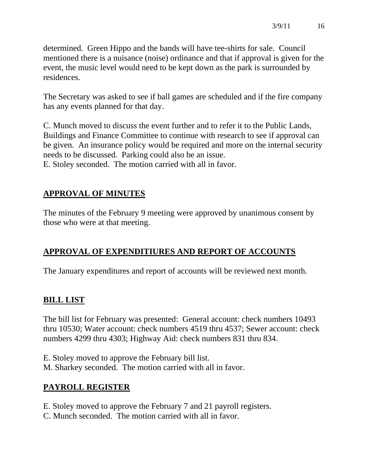determined. Green Hippo and the bands will have tee-shirts for sale. Council mentioned there is a nuisance (noise) ordinance and that if approval is given for the event, the music level would need to be kept down as the park is surrounded by residences.

The Secretary was asked to see if ball games are scheduled and if the fire company has any events planned for that day.

C. Munch moved to discuss the event further and to refer it to the Public Lands, Buildings and Finance Committee to continue with research to see if approval can be given. An insurance policy would be required and more on the internal security needs to be discussed. Parking could also be an issue. E. Stoley seconded. The motion carried with all in favor.

# **APPROVAL OF MINUTES**

The minutes of the February 9 meeting were approved by unanimous consent by those who were at that meeting.

# **APPROVAL OF EXPENDITIURES AND REPORT OF ACCOUNTS**

The January expenditures and report of accounts will be reviewed next month.

# **BILL LIST**

The bill list for February was presented: General account: check numbers 10493 thru 10530; Water account: check numbers 4519 thru 4537; Sewer account: check numbers 4299 thru 4303; Highway Aid: check numbers 831 thru 834.

E. Stoley moved to approve the February bill list. M. Sharkey seconded. The motion carried with all in favor.

# **PAYROLL REGISTER**

E. Stoley moved to approve the February 7 and 21 payroll registers.

C. Munch seconded. The motion carried with all in favor.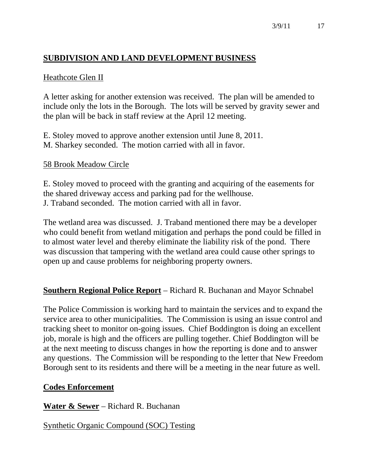# **SUBDIVISION AND LAND DEVELOPMENT BUSINESS**

## Heathcote Glen II

A letter asking for another extension was received. The plan will be amended to include only the lots in the Borough. The lots will be served by gravity sewer and the plan will be back in staff review at the April 12 meeting.

E. Stoley moved to approve another extension until June 8, 2011. M. Sharkey seconded. The motion carried with all in favor.

## 58 Brook Meadow Circle

E. Stoley moved to proceed with the granting and acquiring of the easements for the shared driveway access and parking pad for the wellhouse. J. Traband seconded. The motion carried with all in favor.

The wetland area was discussed. J. Traband mentioned there may be a developer who could benefit from wetland mitigation and perhaps the pond could be filled in to almost water level and thereby eliminate the liability risk of the pond. There was discussion that tampering with the wetland area could cause other springs to open up and cause problems for neighboring property owners.

## **Southern Regional Police Report** – Richard R. Buchanan and Mayor Schnabel

The Police Commission is working hard to maintain the services and to expand the service area to other municipalities. The Commission is using an issue control and tracking sheet to monitor on-going issues. Chief Boddington is doing an excellent job, morale is high and the officers are pulling together. Chief Boddington will be at the next meeting to discuss changes in how the reporting is done and to answer any questions. The Commission will be responding to the letter that New Freedom Borough sent to its residents and there will be a meeting in the near future as well.

#### **Codes Enforcement**

**Water & Sewer** – Richard R. Buchanan

## Synthetic Organic Compound (SOC) Testing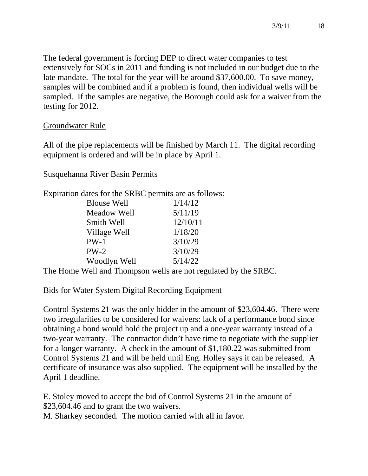The federal government is forcing DEP to direct water companies to test extensively for SOCs in 2011 and funding is not included in our budget due to the late mandate. The total for the year will be around \$37,600.00. To save money, samples will be combined and if a problem is found, then individual wells will be sampled. If the samples are negative, the Borough could ask for a waiver from the testing for 2012.

## Groundwater Rule

All of the pipe replacements will be finished by March 11. The digital recording equipment is ordered and will be in place by April 1.

## Susquehanna River Basin Permits

Expiration dates for the SRBC permits are as follows:

| <b>Blouse Well</b> | 1/14/12  |
|--------------------|----------|
| Meadow Well        | 5/11/19  |
| Smith Well         | 12/10/11 |
| Village Well       | 1/18/20  |
| $PW-1$             | 3/10/29  |
| $PW-2$             | 3/10/29  |
| Woodlyn Well       | 5/14/22  |

The Home Well and Thompson wells are not regulated by the SRBC.

## Bids for Water System Digital Recording Equipment

Control Systems 21 was the only bidder in the amount of \$23,604.46. There were two irregularities to be considered for waivers: lack of a performance bond since obtaining a bond would hold the project up and a one-year warranty instead of a two-year warranty. The contractor didn't have time to negotiate with the supplier for a longer warranty. A check in the amount of \$1,180.22 was submitted from Control Systems 21 and will be held until Eng. Holley says it can be released. A certificate of insurance was also supplied. The equipment will be installed by the April 1 deadline.

E. Stoley moved to accept the bid of Control Systems 21 in the amount of \$23,604.46 and to grant the two waivers.

M. Sharkey seconded. The motion carried with all in favor.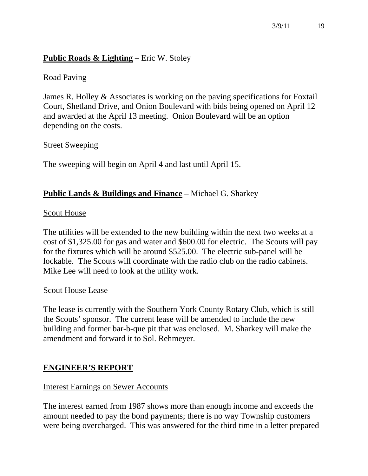## **Public Roads & Lighting** – Eric W. Stoley

## Road Paving

James R. Holley & Associates is working on the paving specifications for Foxtail Court, Shetland Drive, and Onion Boulevard with bids being opened on April 12 and awarded at the April 13 meeting. Onion Boulevard will be an option depending on the costs.

## Street Sweeping

The sweeping will begin on April 4 and last until April 15.

## **Public Lands & Buildings and Finance** – Michael G. Sharkey

## Scout House

The utilities will be extended to the new building within the next two weeks at a cost of \$1,325.00 for gas and water and \$600.00 for electric. The Scouts will pay for the fixtures which will be around \$525.00. The electric sub-panel will be lockable. The Scouts will coordinate with the radio club on the radio cabinets. Mike Lee will need to look at the utility work.

## Scout House Lease

The lease is currently with the Southern York County Rotary Club, which is still the Scouts' sponsor. The current lease will be amended to include the new building and former bar-b-que pit that was enclosed. M. Sharkey will make the amendment and forward it to Sol. Rehmeyer.

## **ENGINEER'S REPORT**

## Interest Earnings on Sewer Accounts

The interest earned from 1987 shows more than enough income and exceeds the amount needed to pay the bond payments; there is no way Township customers were being overcharged. This was answered for the third time in a letter prepared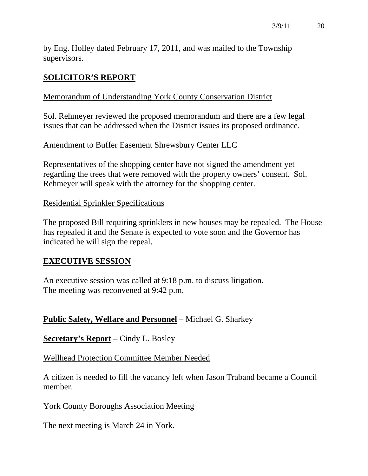by Eng. Holley dated February 17, 2011, and was mailed to the Township supervisors.

## **SOLICITOR'S REPORT**

## Memorandum of Understanding York County Conservation District

Sol. Rehmeyer reviewed the proposed memorandum and there are a few legal issues that can be addressed when the District issues its proposed ordinance.

## Amendment to Buffer Easement Shrewsbury Center LLC

Representatives of the shopping center have not signed the amendment yet regarding the trees that were removed with the property owners' consent. Sol. Rehmeyer will speak with the attorney for the shopping center.

#### Residential Sprinkler Specifications

The proposed Bill requiring sprinklers in new houses may be repealed. The House has repealed it and the Senate is expected to vote soon and the Governor has indicated he will sign the repeal.

## **EXECUTIVE SESSION**

An executive session was called at 9:18 p.m. to discuss litigation. The meeting was reconvened at 9:42 p.m.

## **Public Safety, Welfare and Personnel** – Michael G. Sharkey

**Secretary's Report** – Cindy L. Bosley

#### Wellhead Protection Committee Member Needed

A citizen is needed to fill the vacancy left when Jason Traband became a Council member.

## York County Boroughs Association Meeting

The next meeting is March 24 in York.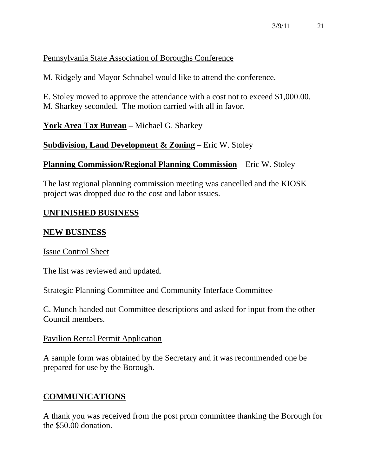## Pennsylvania State Association of Boroughs Conference

M. Ridgely and Mayor Schnabel would like to attend the conference.

E. Stoley moved to approve the attendance with a cost not to exceed \$1,000.00. M. Sharkey seconded. The motion carried with all in favor.

**York Area Tax Bureau** – Michael G. Sharkey

## **Subdivision, Land Development & Zoning** – Eric W. Stoley

## **Planning Commission/Regional Planning Commission** – Eric W. Stoley

The last regional planning commission meeting was cancelled and the KIOSK project was dropped due to the cost and labor issues.

## **UNFINISHED BUSINESS**

## **NEW BUSINESS**

## Issue Control Sheet

The list was reviewed and updated.

## Strategic Planning Committee and Community Interface Committee

C. Munch handed out Committee descriptions and asked for input from the other Council members.

## Pavilion Rental Permit Application

A sample form was obtained by the Secretary and it was recommended one be prepared for use by the Borough.

## **COMMUNICATIONS**

A thank you was received from the post prom committee thanking the Borough for the \$50.00 donation.